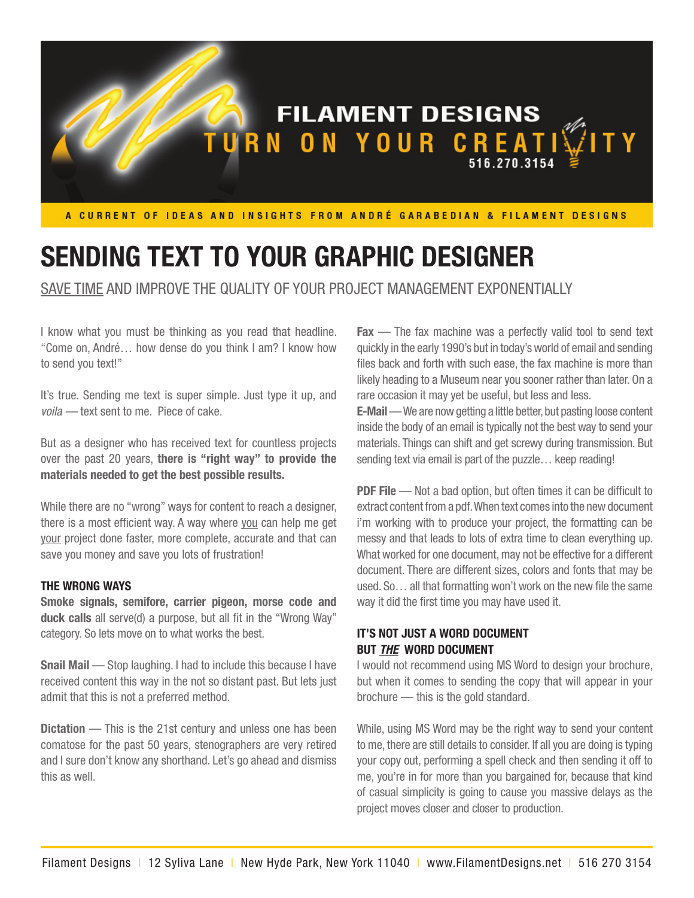

# **SENDING TEXT TO YOUR GRAPHIC DESIGNER**

SAVE TIME AND IMPROVE THE QUALITY OF YOUR PROJECT MANAGEMENT EXPONENTIALLY

I know what you must be thinking as you read that headline. "Come on, André… how dense do you think I am? I know how to send you text!"

It's true. Sending me text is super simple. Just type it up, and *voila —* text sent to me. Piece of cake.

But as a designer who has received text for countless projects over the past 20 years, **there is "right way" to provide the materials needed to get the best possible results.** 

While there are no "wrong" ways for content to reach a designer, there is a most efficient way. A way where you can help me get your project done faster, more complete, accurate and that can save you money and save you lots of frustration!

#### **THE WRONG WAYS**

**Smoke signals, semifore, carrier pigeon, morse code and duck calls** all serve(d) a purpose, but all fit in the "Wrong Way" category. So lets move on to what works the best.

**Snail Mail** — Stop laughing. I had to include this because I have received content this way in the not so distant past. But lets just admit that this is not a preferred method.

**Dictation** — This is the 21st century and unless one has been comatose for the past 50 years, stenographers are very retired and I sure don't know any shorthand. Let's go ahead and dismiss this as well.

**Fax** — The fax machine was a perfectly valid tool to send text quickly in the early 1990's but in today's world of email and sending files back and forth with such ease, the fax machine is more than likely heading to a Museum near you sooner rather than later. On a rare occasion it may yet be useful, but less and less.

**E-Mail** — We are now getting a little better, but pasting loose content inside the body of an email is typically not the best way to send your materials. Things can shift and get screwy during transmission. But sending text via email is part of the puzzle… keep reading!

**PDF File** — Not a bad option, but often times it can be difficult to extract content from a pdf. When text comes into the new document i'm working with to produce your project, the formatting can be messy and that leads to lots of extra time to clean everything up. What worked for one document, may not be effective for a different document. There are different sizes, colors and fonts that may be used. So… all that formatting won't work on the new file the same way it did the first time you may have used it.

# **IT'S NOT JUST A WORD DOCUMENT BUT** *THE* **WORD DOCUMENT**

I would not recommend using MS Word to design your brochure, but when it comes to sending the copy that will appear in your brochure — this is the gold standard.

While, using MS Word may be the right way to send your content to me, there are still details to consider. If all you are doing is typing your copy out, performing a spell check and then sending it off to me, you're in for more than you bargained for, because that kind of casual simplicity is going to cause you massive delays as the project moves closer and closer to production.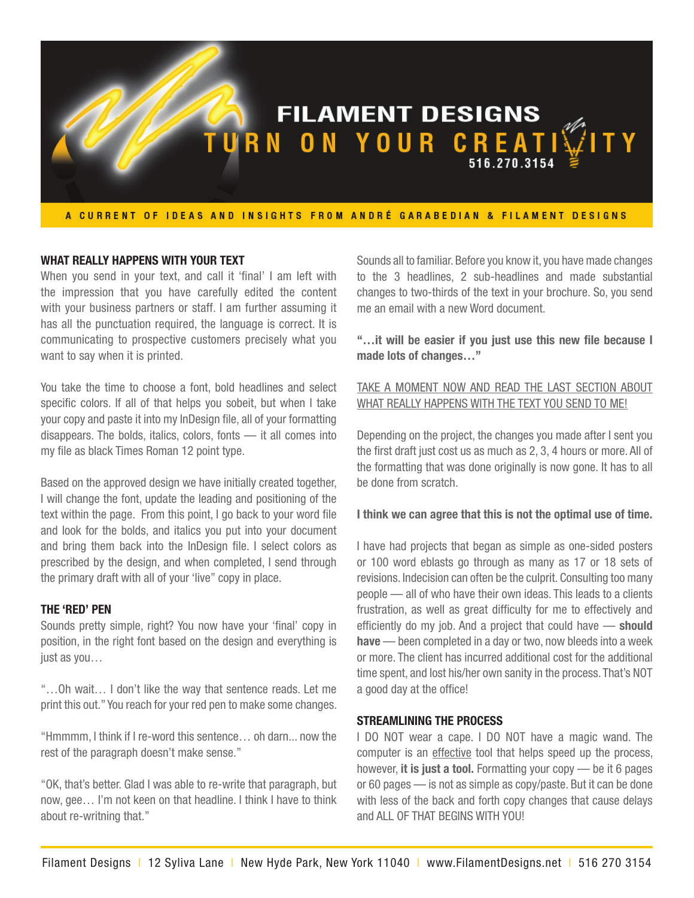

## **WHAT REALLY HAPPENS WITH YOUR TEXT**

When you send in your text, and call it 'final' I am left with the impression that you have carefully edited the content with your business partners or staff. I am further assuming it has all the punctuation required, the language is correct. It is communicating to prospective customers precisely what you want to say when it is printed.

You take the time to choose a font, bold headlines and select specific colors. If all of that helps you sobeit, but when I take your copy and paste it into my InDesign file, all of your formatting disappears. The bolds, italics, colors, fonts — it all comes into my file as black Times Roman 12 point type.

Based on the approved design we have initially created together, I will change the font, update the leading and positioning of the text within the page. From this point, I go back to your word file and look for the bolds, and italics you put into your document and bring them back into the InDesign file. I select colors as prescribed by the design, and when completed, I send through the primary draft with all of your 'live" copy in place.

#### **THE 'RED' PEN**

Sounds pretty simple, right? You now have your 'final' copy in position, in the right font based on the design and everything is just as you…

"…Oh wait… I don't like the way that sentence reads. Let me print this out." You reach for your red pen to make some changes.

"Hmmmm, I think if I re-word this sentence… oh darn... now the rest of the paragraph doesn't make sense."

"OK, that's better. Glad I was able to re-write that paragraph, but now, gee… I'm not keen on that headline. I think I have to think about re-writning that."

Sounds all to familiar. Before you know it, you have made changes to the 3 headlines, 2 sub-headlines and made substantial changes to two-thirds of the text in your brochure. So, you send me an email with a new Word document.

**"…it will be easier if you just use this new file because I made lots of changes…"**

# TAKE A MOMENT NOW AND READ THE LAST SECTION ABOUT WHAT REALLY HAPPENS WITH THE TEXT YOU SEND TO ME!

Depending on the project, the changes you made after I sent you the first draft just cost us as much as 2, 3, 4 hours or more. All of the formatting that was done originally is now gone. It has to all be done from scratch.

#### **I think we can agree that this is not the optimal use of time.**

I have had projects that began as simple as one-sided posters or 100 word eblasts go through as many as 17 or 18 sets of revisions. Indecision can often be the culprit. Consulting too many people — all of who have their own ideas. This leads to a clients frustration, as well as great difficulty for me to effectively and efficiently do my job. And a project that could have — **should have** — been completed in a day or two, now bleeds into a week or more. The client has incurred additional cost for the additional time spent, and lost his/her own sanity in the process. That's NOT a good day at the office!

## **STREAMLINING THE PROCESS**

I DO NOT wear a cape. I DO NOT have a magic wand. The computer is an effective tool that helps speed up the process, however, **it is just a tool.** Formatting your copy — be it 6 pages or 60 pages — is not as simple as copy/paste. But it can be done with less of the back and forth copy changes that cause delays and ALL OF THAT BEGINS WITH YOU!